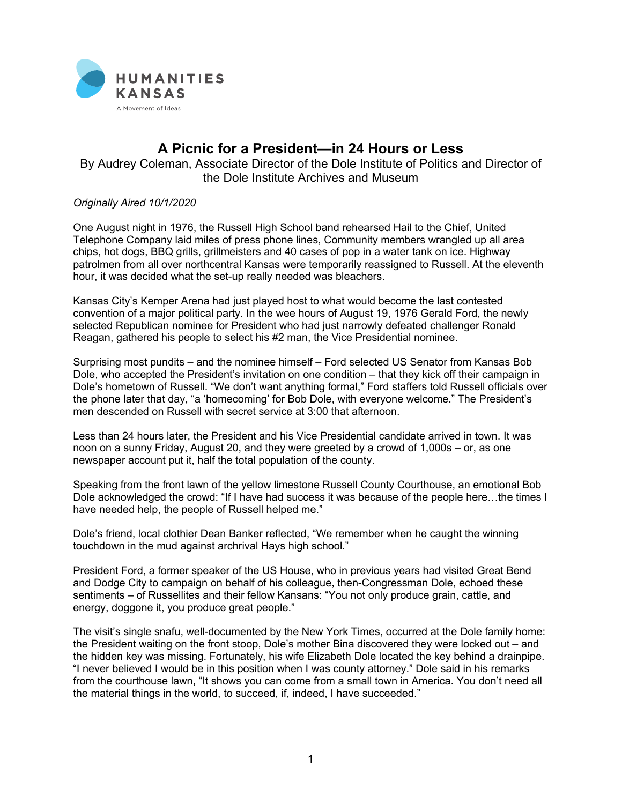

## **A Picnic for a President—in 24 Hours or Less**

By Audrey Coleman, Associate Director of the Dole Institute of Politics and Director of the Dole Institute Archives and Museum

*Originally Aired 10/1/2020*

One August night in 1976, the Russell High School band rehearsed Hail to the Chief, United Telephone Company laid miles of press phone lines, Community members wrangled up all area chips, hot dogs, BBQ grills, grillmeisters and 40 cases of pop in a water tank on ice. Highway patrolmen from all over northcentral Kansas were temporarily reassigned to Russell. At the eleventh hour, it was decided what the set-up really needed was bleachers.

Kansas City's Kemper Arena had just played host to what would become the last contested convention of a major political party. In the wee hours of August 19, 1976 Gerald Ford, the newly selected Republican nominee for President who had just narrowly defeated challenger Ronald Reagan, gathered his people to select his #2 man, the Vice Presidential nominee.

Surprising most pundits – and the nominee himself – Ford selected US Senator from Kansas Bob Dole, who accepted the President's invitation on one condition – that they kick off their campaign in Dole's hometown of Russell. "We don't want anything formal," Ford staffers told Russell officials over the phone later that day, "a 'homecoming' for Bob Dole, with everyone welcome." The President's men descended on Russell with secret service at 3:00 that afternoon.

Less than 24 hours later, the President and his Vice Presidential candidate arrived in town. It was noon on a sunny Friday, August 20, and they were greeted by a crowd of 1,000s – or, as one newspaper account put it, half the total population of the county.

Speaking from the front lawn of the yellow limestone Russell County Courthouse, an emotional Bob Dole acknowledged the crowd: "If I have had success it was because of the people here…the times I have needed help, the people of Russell helped me."

Dole's friend, local clothier Dean Banker reflected, "We remember when he caught the winning touchdown in the mud against archrival Hays high school."

President Ford, a former speaker of the US House, who in previous years had visited Great Bend and Dodge City to campaign on behalf of his colleague, then-Congressman Dole, echoed these sentiments – of Russellites and their fellow Kansans: "You not only produce grain, cattle, and energy, doggone it, you produce great people."

The visit's single snafu, well-documented by the New York Times, occurred at the Dole family home: the President waiting on the front stoop, Dole's mother Bina discovered they were locked out – and the hidden key was missing. Fortunately, his wife Elizabeth Dole located the key behind a drainpipe. "I never believed I would be in this position when I was county attorney." Dole said in his remarks from the courthouse lawn, "It shows you can come from a small town in America. You don't need all the material things in the world, to succeed, if, indeed, I have succeeded."